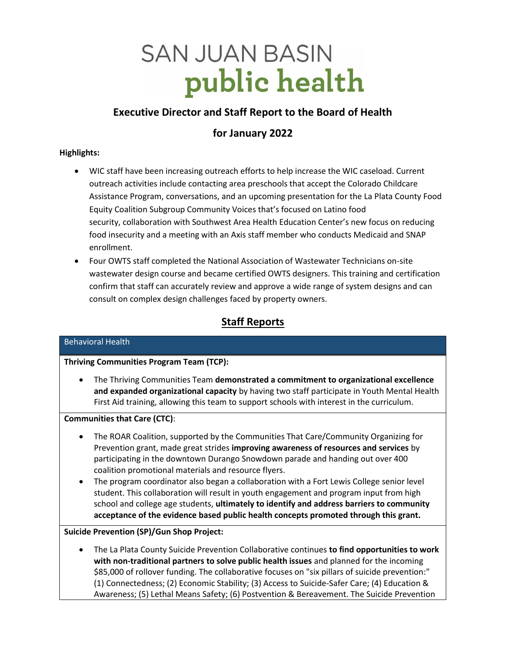# **SAN JUAN BASIN** public health

# **Executive Director and Staff Report to the Board of Health**

## **for January 2022**

## **Highlights:**

- WIC staff have been increasing outreach efforts to help increase the WIC caseload. Current outreach activities include contacting area preschools that accept the Colorado Childcare Assistance Program, conversations, and an upcoming presentation for the La Plata County Food Equity Coalition Subgroup Community Voices that's focused on Latino food security, collaboration with Southwest Area Health Education Center's new focus on reducing food insecurity and a meeting with an Axis staff member who conducts Medicaid and SNAP enrollment.
- Four OWTS staff completed the National Association of Wastewater Technicians on-site wastewater design course and became certified OWTS designers. This training and certification confirm that staff can accurately review and approve a wide range of system designs and can consult on complex design challenges faced by property owners.

# **Staff Reports**

## Behavioral Health

## **Thriving Communities Program Team (TCP):**

• The Thriving Communities Team **demonstrated a commitment to organizational excellence and expanded organizational capacity** by having two staff participate in Youth Mental Health First Aid training, allowing this team to support schools with interest in the curriculum.

#### **Communities that Care (CTC)**:

- The ROAR Coalition, supported by the Communities That Care/Community Organizing for Prevention grant, made great strides **improving awareness of resources and services** by participating in the downtown Durango Snowdown parade and handing out over 400 coalition promotional materials and resource flyers.
- The program coordinator also began a collaboration with a Fort Lewis College senior level student. This collaboration will result in youth engagement and program input from high school and college age students, **ultimately to identify and address barriers to community acceptance of the evidence based public health concepts promoted through this grant.**

## **Suicide Prevention (SP)/Gun Shop Project:**

• The La Plata County Suicide Prevention Collaborative continues **to find opportunities to work with non-traditional partners to solve public health issues** and planned for the incoming \$85,000 of rollover funding. The collaborative focuses on "six pillars of suicide prevention:" (1) Connectedness; (2) Economic Stability; (3) Access to Suicide-Safer Care; (4) Education & Awareness; (5) Lethal Means Safety; (6) Postvention & Bereavement. The Suicide Prevention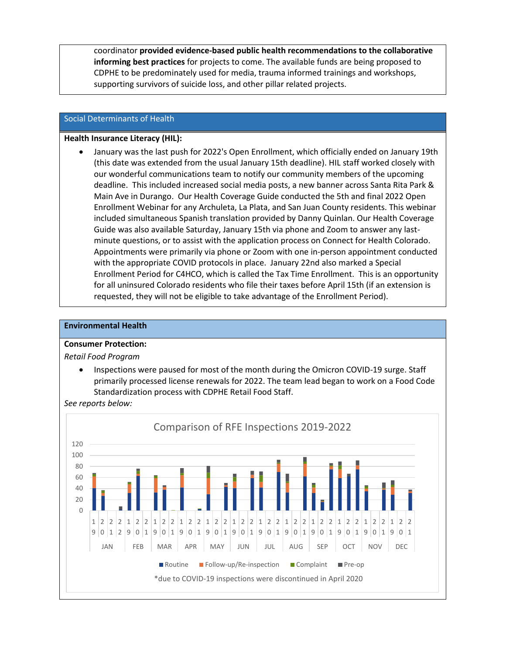coordinator **provided evidence-based public health recommendations to the collaborative informing best practices** for projects to come. The available funds are being proposed to CDPHE to be predominately used for media, trauma informed trainings and workshops, supporting survivors of suicide loss, and other pillar related projects.

#### Social Determinants of Health

#### **Health Insurance Literacy (HIL):**

• January was the last push for 2022's Open Enrollment, which officially ended on January 19th (this date was extended from the usual January 15th deadline). HIL staff worked closely with our wonderful communications team to notify our community members of the upcoming deadline. This included increased social media posts, a new banner across Santa Rita Park & Main Ave in Durango. Our Health Coverage Guide conducted the 5th and final 2022 Open Enrollment Webinar for any Archuleta, La Plata, and San Juan County residents. This webinar included simultaneous Spanish translation provided by Danny Quinlan. Our Health Coverage Guide was also available Saturday, January 15th via phone and Zoom to answer any lastminute questions, or to assist with the application process on Connect for Health Colorado. Appointments were primarily via phone or Zoom with one in-person appointment conducted with the appropriate COVID protocols in place. January 22nd also marked a Special Enrollment Period for C4HCO, which is called the Tax Time Enrollment. This is an opportunity for all uninsured Colorado residents who file their taxes before April 15th (if an extension is requested, they will not be eligible to take advantage of the Enrollment Period).

#### **Environmental Health**

#### **Consumer Protection:**

#### *Retail Food Program*

• Inspections were paused for most of the month during the Omicron COVID-19 surge. Staff primarily processed license renewals for 2022. The team lead began to work on a Food Code Standardization process with CDPHE Retail Food Staff.



*See reports below:*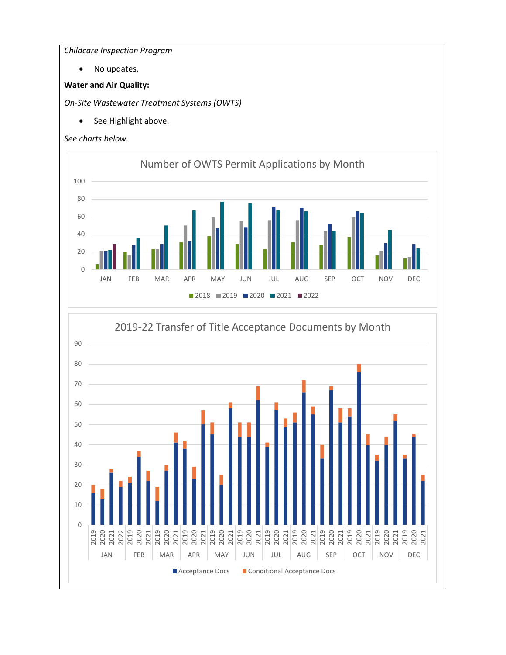*Childcare Inspection Program*

• No updates.

## **Water and Air Quality:**

*On-Site Wastewater Treatment Systems (OWTS)*

• See Highlight above.



0

2022<br>2021<br>2022<br>2019

2020<br>2020<br>2020<br>2021

2019

2020<br>2020<br>2020<br>2021

2019 2020 2021

■ Acceptance Docs ■ Conditional Acceptance Docs

JAN FEB MAR APR MAY JUN JUL AUG SEP OCT NOV DEC

2020<br>2020<br>2020<br>2020<br>2020

2021<br>2020<br>2020<br>2020

2020 2021 2019 2020 2021

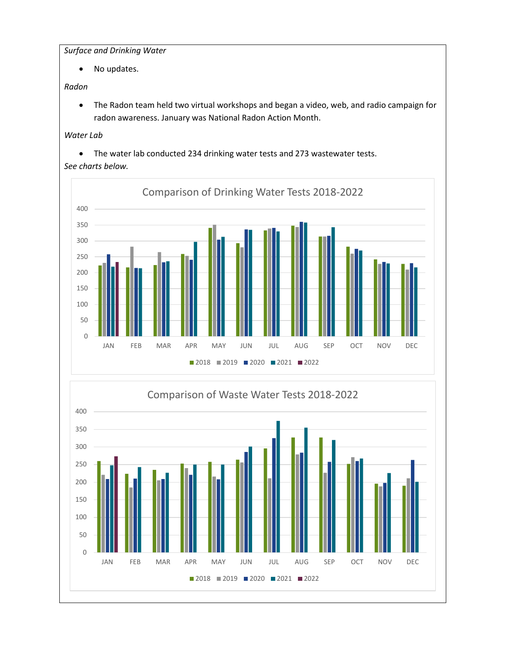*Surface and Drinking Water*

• No updates.

## *Radon*

• The Radon team held two virtual workshops and began a video, web, and radio campaign for radon awareness. January was National Radon Action Month.

## *Water Lab*

• The water lab conducted 234 drinking water tests and 273 wastewater tests.

## *See charts below.*



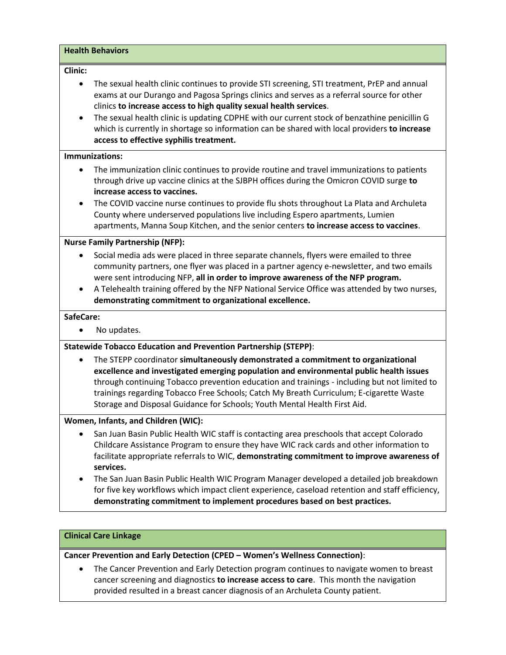#### **Health Behaviors**

#### **Clinic:**

- The sexual health clinic continues to provide STI screening, STI treatment, PrEP and annual exams at our Durango and Pagosa Springs clinics and serves as a referral source for other clinics **to increase access to high quality sexual health services**.
- The sexual health clinic is updating CDPHE with our current stock of benzathine penicillin G which is currently in shortage so information can be shared with local providers **to increase access to effective syphilis treatment.**

#### **Immunizations:**

- The immunization clinic continues to provide routine and travel immunizations to patients through drive up vaccine clinics at the SJBPH offices during the Omicron COVID surge **to increase access to vaccines.**
- The COVID vaccine nurse continues to provide flu shots throughout La Plata and Archuleta County where underserved populations live including Espero apartments, Lumien apartments, Manna Soup Kitchen, and the senior centers **to increase access to vaccines**.

#### **Nurse Family Partnership (NFP):**

- Social media ads were placed in three separate channels, flyers were emailed to three community partners, one flyer was placed in a partner agency e-newsletter, and two emails were sent introducing NFP, **all in order to improve awareness of the NFP program.**
- A Telehealth training offered by the NFP National Service Office was attended by two nurses, **demonstrating commitment to organizational excellence.**

#### **SafeCare:**

• No updates.

#### **Statewide Tobacco Education and Prevention Partnership (STEPP)**:

• The STEPP coordinator **simultaneously demonstrated a commitment to organizational excellence and investigated emerging population and environmental public health issues** through continuing Tobacco prevention education and trainings - including but not limited to trainings regarding Tobacco Free Schools; Catch My Breath Curriculum; E-cigarette Waste Storage and Disposal Guidance for Schools; Youth Mental Health First Aid.

#### **Women, Infants, and Children (WIC):**

- San Juan Basin Public Health WIC staff is contacting area preschools that accept Colorado Childcare Assistance Program to ensure they have WIC rack cards and other information to facilitate appropriate referrals to WIC, **demonstrating commitment to improve awareness of services.**
- The San Juan Basin Public Health WIC Program Manager developed a detailed job breakdown for five key workflows which impact client experience, caseload retention and staff efficiency, **demonstrating commitment to implement procedures based on best practices.**

#### **Clinical Care Linkage**

#### **Cancer Prevention and Early Detection (CPED – Women's Wellness Connection)**:

• The Cancer Prevention and Early Detection program continues to navigate women to breast cancer screening and diagnostics **to increase access to care**. This month the navigation provided resulted in a breast cancer diagnosis of an Archuleta County patient.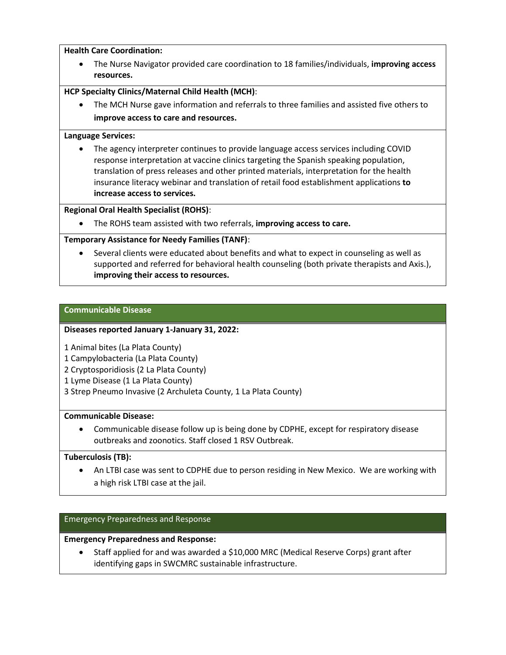#### **Health Care Coordination:**

• The Nurse Navigator provided care coordination to 18 families/individuals, **improving access resources.**

#### **HCP Specialty Clinics/Maternal Child Health (MCH)**:

• The MCH Nurse gave information and referrals to three families and assisted five others to **improve access to care and resources.**

#### **Language Services:**

• The agency interpreter continues to provide language access services including COVID response interpretation at vaccine clinics targeting the Spanish speaking population, translation of press releases and other printed materials, interpretation for the health insurance literacy webinar and translation of retail food establishment applications **to increase access to services.**

#### **Regional Oral Health Specialist (ROHS)**:

• The ROHS team assisted with two referrals, **improving access to care.**

#### **Temporary Assistance for Needy Families (TANF)**:

• Several clients were educated about benefits and what to expect in counseling as well as supported and referred for behavioral health counseling (both private therapists and Axis.), **improving their access to resources.**

## **Communicable Disease**

#### **Diseases reported January 1-January 31, 2022:**

- 1 Animal bites (La Plata County)
- 1 Campylobacteria (La Plata County)
- 2 Cryptosporidiosis (2 La Plata County)
- 1 Lyme Disease (1 La Plata County)
- 3 Strep Pneumo Invasive (2 Archuleta County, 1 La Plata County)

#### **Communicable Disease:**

• Communicable disease follow up is being done by CDPHE, except for respiratory disease outbreaks and zoonotics. Staff closed 1 RSV Outbreak.

#### **Tuberculosis (TB):**

• An LTBI case was sent to CDPHE due to person residing in New Mexico. We are working with a high risk LTBI case at the jail.

#### Emergency Preparedness and Response

#### **Emergency Preparedness and Response:**

• Staff applied for and was awarded a \$10,000 MRC (Medical Reserve Corps) grant after identifying gaps in SWCMRC sustainable infrastructure.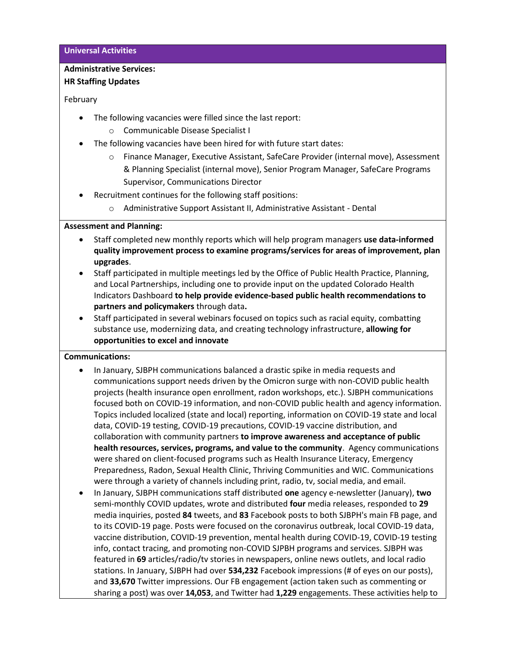## **Administrative Services:**

## **HR Staffing Updates**

## February

- The following vacancies were filled since the last report:
	- o Communicable Disease Specialist I
- The following vacancies have been hired for with future start dates:
	- o Finance Manager, Executive Assistant, SafeCare Provider (internal move), Assessment & Planning Specialist (internal move), Senior Program Manager, SafeCare Programs Supervisor, Communications Director
- Recruitment continues for the following staff positions:
	- o Administrative Support Assistant II, Administrative Assistant Dental

## **Assessment and Planning:**

- Staff completed new monthly reports which will help program managers **use data-informed quality improvement process to examine programs/services for areas of improvement, plan upgrades**.
- Staff participated in multiple meetings led by the Office of Public Health Practice, Planning, and Local Partnerships, including one to provide input on the updated Colorado Health Indicators Dashboard **to help provide evidence-based public health recommendations to partners and policymakers** through data**.**
- Staff participated in several webinars focused on topics such as racial equity, combatting substance use, modernizing data, and creating technology infrastructure, **allowing for opportunities to excel and innovate**

## **Communications:**

- In January, SJBPH communications balanced a drastic spike in media requests and communications support needs driven by the Omicron surge with non-COVID public health projects (health insurance open enrollment, radon workshops, etc.). SJBPH communications focused both on COVID-19 information, and non-COVID public health and agency information. Topics included localized (state and local) reporting, information on COVID-19 state and local data, COVID-19 testing, COVID-19 precautions, COVID-19 vaccine distribution, and collaboration with community partners **to improve awareness and acceptance of public health resources, services, programs, and value to the community**. Agency communications were shared on client-focused programs such as Health Insurance Literacy, Emergency Preparedness, Radon, Sexual Health Clinic, Thriving Communities and WIC. Communications were through a variety of channels including print, radio, tv, social media, and email.
- In January, SJBPH communications staff distributed **one** agency e-newsletter (January), **two** semi-monthly COVID updates, wrote and distributed **four** media releases, responded to **29** media inquiries, posted **84** tweets, and **83** Facebook posts to both SJBPH's main FB page, and to its COVID-19 page. Posts were focused on the coronavirus outbreak, local COVID-19 data, vaccine distribution, COVID-19 prevention, mental health during COVID-19, COVID-19 testing info, contact tracing, and promoting non-COVID SJPBH programs and services. SJBPH was featured in **69** articles/radio/tv stories in newspapers, online news outlets, and local radio stations. In January, SJBPH had over **534,232** Facebook impressions (# of eyes on our posts), and **33,670** Twitter impressions. Our FB engagement (action taken such as commenting or sharing a post) was over **14,053**, and Twitter had **1,229** engagements. These activities help to